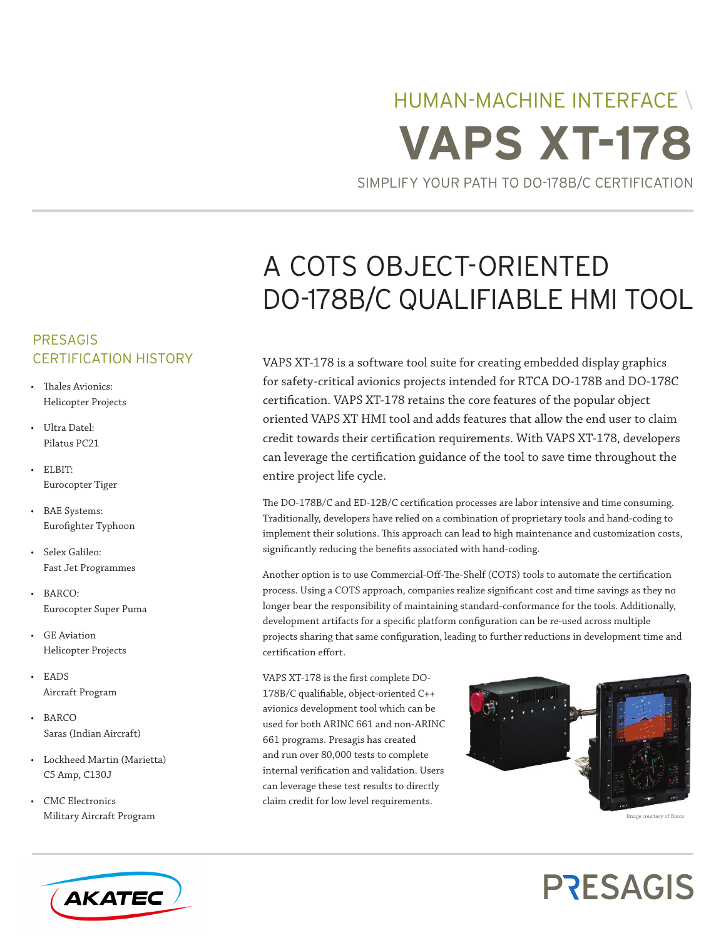# HUMAN-MACHINE INTERFACE \ **VAPS XT-178**

SIMPLIFY YOUR PATH TO DO-178B/C CERTIFICATION

## A COTS OBJECT-ORIENTED DO-178B/C QUALIFIABLE HMI TOOL

VAPS XT-178 is a software tool suite for creating embedded display graphics for safety-critical avionics projects intended for RTCA DO-178B and DO-178C certification. VAPS XT-178 retains the core features of the popular object oriented VAPS XT HMI tool and adds features that allow the end user to claim credit towards their certification requirements. With VAPS XT-178, developers can leverage the certification guidance of the tool to save time throughout the entire project life cycle.

The DO-178B/C and ED-12B/C certification processes are labor intensive and time consuming. Traditionally, developers have relied on a combination of proprietary tools and hand-coding to implement their solutions. This approach can lead to high maintenance and customization costs, significantly reducing the benefits associated with hand-coding.

Another option is to use Commercial-Off-The-Shelf (COTS) tools to automate the certification process. Using a COTS approach, companies realize significant cost and time savings as they no longer bear the responsibility of maintaining standard-conformance for the tools. Additionally, development artifacts for a specific platform configuration can be re-used across multiple projects sharing that same configuration, leading to further reductions in development time and certification effort.

VAPS XT-178 is the first complete DO-178B/C qualifiable, object-oriented C++ avionics development tool which can be used for both ARINC 661 and non-ARINC 661 programs. Presagis has created and run over 80,000 tests to complete internal verification and validation. Users can leverage these test results to directly claim credit for low level requirements.



#### Image courtesy of Barco

## **PRESAGIS**

## PRESAGIS CERTIFICATION HISTORY

- Thales Avionics: Helicopter Projects
- • Ultra Datel: Pilatus PC21
- • ELBIT: Eurocopter Tiger
- • BAE Systems: Eurofighter Typhoon
- • Selex Galileo: Fast Jet Programmes
- • BARCO: Eurocopter Super Puma
- • GE Aviation Helicopter Projects
- • EADS Aircraft Program
- • BARCO Saras (Indian Aircraft)
- • Lockheed Martin (Marietta) C5 Amp, C130J
- • CMC Electronics Military Aircraft Program